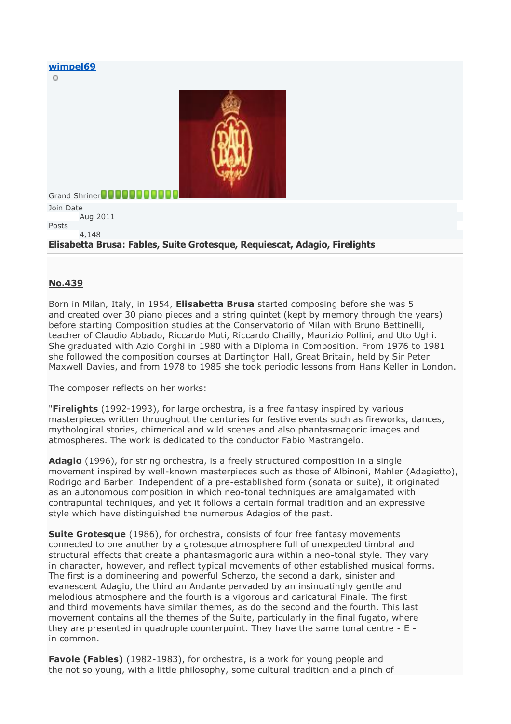#### **[wimpel69](http://forums.ffshrine.org/members/wimpel69-637371)**

C)



Grand Shriner**DOOOOOO** Join Date Aug 2011 Posts 4,148 **Elisabetta Brusa: Fables, Suite Grotesque, Requiescat, Adagio, Firelights**

### **No.439**

Born in Milan, Italy, in 1954, **Elisabetta Brusa** started composing before she was 5 and created over 30 piano pieces and a string quintet (kept by memory through the years) before starting Composition studies at the Conservatorio of Milan with Bruno Bettinelli, teacher of Claudio Abbado, Riccardo Muti, Riccardo Chailly, Maurizio Pollini, and Uto Ughi. She graduated with Azio Corghi in 1980 with a Diploma in Composition. From 1976 to 1981 she followed the composition courses at Dartington Hall, Great Britain, held by Sir Peter Maxwell Davies, and from 1978 to 1985 she took periodic lessons from Hans Keller in London.

The composer reflects on her works:

"**Firelights** (1992-1993), for large orchestra, is a free fantasy inspired by various masterpieces written throughout the centuries for festive events such as fireworks, dances, mythological stories, chimerical and wild scenes and also phantasmagoric images and atmospheres. The work is dedicated to the conductor Fabio Mastrangelo.

**Adagio** (1996), for string orchestra, is a freely structured composition in a single movement inspired by well-known masterpieces such as those of Albinoni, Mahler (Adagietto), Rodrigo and Barber. Independent of a pre-established form (sonata or suite), it originated as an autonomous composition in which neo-tonal techniques are amalgamated with contrapuntal techniques, and yet it follows a certain formal tradition and an expressive style which have distinguished the numerous Adagios of the past.

**Suite Grotesque** (1986), for orchestra, consists of four free fantasy movements connected to one another by a grotesque atmosphere full of unexpected timbral and structural effects that create a phantasmagoric aura within a neo-tonal style. They vary in character, however, and reflect typical movements of other established musical forms. The first is a domineering and powerful Scherzo, the second a dark, sinister and evanescent Adagio, the third an Andante pervaded by an insinuatingly gentle and melodious atmosphere and the fourth is a vigorous and caricatural Finale. The first and third movements have similar themes, as do the second and the fourth. This last movement contains all the themes of the Suite, particularly in the final fugato, where they are presented in quadruple counterpoint. They have the same tonal centre - E in common.

**Favole (Fables)** (1982-1983), for orchestra, is a work for young people and the not so young, with a little philosophy, some cultural tradition and a pinch of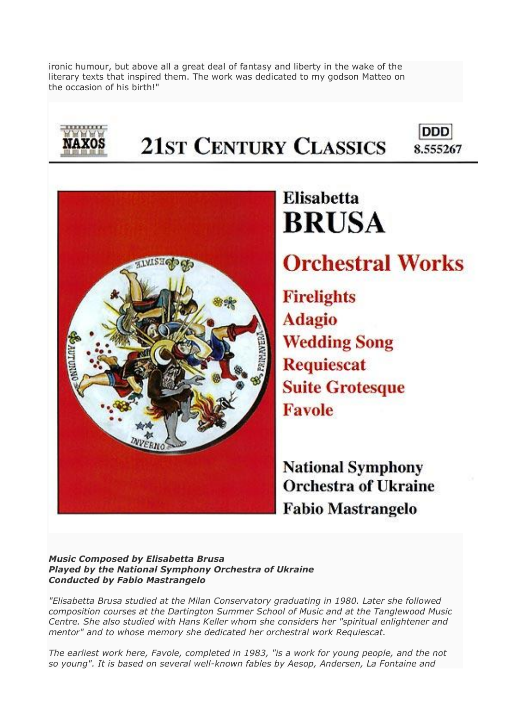ironic humour, but above all a great deal of fantasy and liberty in the wake of the literary texts that inspired them. The work was dedicated to my godson Matteo on the occasion of his birth!"



## **21ST CENTURY CLASSICS** 8.555267



# **Elisabetta BRUSA Orchestral Works**

**DDD** 

**Firelights Adagio Wedding Song Requiescat Suite Grotesque Favole** 

**National Symphony Orchestra of Ukraine Fabio Mastrangelo** 

### *Music Composed by Elisabetta Brusa Played by the National Symphony Orchestra of Ukraine Conducted by Fabio Mastrangelo*

*"Elisabetta Brusa studied at the Milan Conservatory graduating in 1980. Later she followed composition courses at the Dartington Summer School of Music and at the Tanglewood Music Centre. She also studied with Hans Keller whom she considers her "spiritual enlightener and mentor" and to whose memory she dedicated her orchestral work Requiescat.*

*The earliest work here, Favole, completed in 1983, "is a work for young people, and the not so young". It is based on several well-known fables by Aesop, Andersen, La Fontaine and*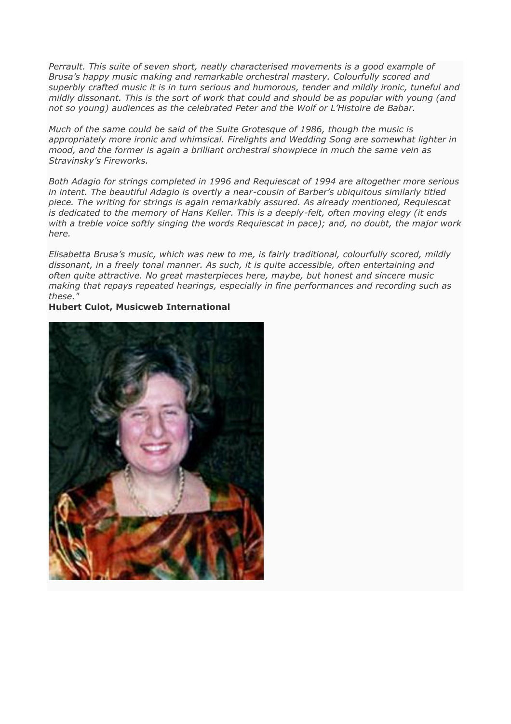*Perrault. This suite of seven short, neatly characterised movements is a good example of Brusa's happy music making and remarkable orchestral mastery. Colourfully scored and superbly crafted music it is in turn serious and humorous, tender and mildly ironic, tuneful and mildly dissonant. This is the sort of work that could and should be as popular with young (and not so young) audiences as the celebrated Peter and the Wolf or L'Histoire de Babar.*

*Much of the same could be said of the Suite Grotesque of 1986, though the music is appropriately more ironic and whimsical. Firelights and Wedding Song are somewhat lighter in mood, and the former is again a brilliant orchestral showpiece in much the same vein as Stravinsky's Fireworks.*

*Both Adagio for strings completed in 1996 and Requiescat of 1994 are altogether more serious in intent. The beautiful Adagio is overtly a near-cousin of Barber's ubiquitous similarly titled piece. The writing for strings is again remarkably assured. As already mentioned, Requiescat is dedicated to the memory of Hans Keller. This is a deeply-felt, often moving elegy (it ends with a treble voice softly singing the words Requiescat in pace); and, no doubt, the major work here.*

*Elisabetta Brusa's music, which was new to me, is fairly traditional, colourfully scored, mildly dissonant, in a freely tonal manner. As such, it is quite accessible, often entertaining and often quite attractive. No great masterpieces here, maybe, but honest and sincere music making that repays repeated hearings, especially in fine performances and recording such as these."*

### **Hubert Culot, Musicweb International**